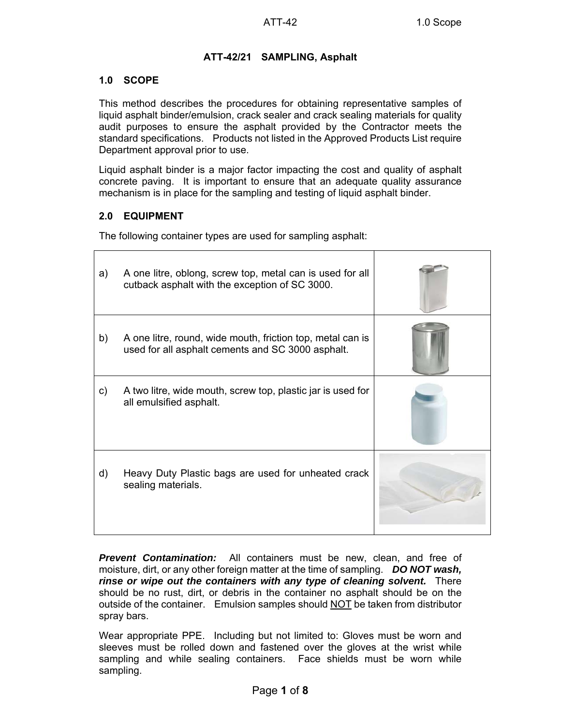## **ATT-42/21 SAMPLING, Asphalt**

#### **1.0 SCOPE**

This method describes the procedures for obtaining representative samples of liquid asphalt binder/emulsion, crack sealer and crack sealing materials for quality audit purposes to ensure the asphalt provided by the Contractor meets the standard specifications. Products not listed in the Approved Products List require Department approval prior to use.

Liquid asphalt binder is a major factor impacting the cost and quality of asphalt concrete paving. It is important to ensure that an adequate quality assurance mechanism is in place for the sampling and testing of liquid asphalt binder.

#### **2.0 EQUIPMENT**

Ē

The following container types are used for sampling asphalt:

| a) | A one litre, oblong, screw top, metal can is used for all<br>cutback asphalt with the exception of SC 3000.     |  |
|----|-----------------------------------------------------------------------------------------------------------------|--|
| b) | A one litre, round, wide mouth, friction top, metal can is<br>used for all asphalt cements and SC 3000 asphalt. |  |
| C) | A two litre, wide mouth, screw top, plastic jar is used for<br>all emulsified asphalt.                          |  |
| d) | Heavy Duty Plastic bags are used for unheated crack<br>sealing materials.                                       |  |

*Prevent Contamination:* All containers must be new, clean, and free of moisture, dirt, or any other foreign matter at the time of sampling. *DO NOT wash, rinse or wipe out the containers with any type of cleaning solvent.* There should be no rust, dirt, or debris in the container no asphalt should be on the outside of the container. Emulsion samples should NOT be taken from distributor spray bars.

Wear appropriate PPE. Including but not limited to: Gloves must be worn and sleeves must be rolled down and fastened over the gloves at the wrist while sampling and while sealing containers. Face shields must be worn while sampling.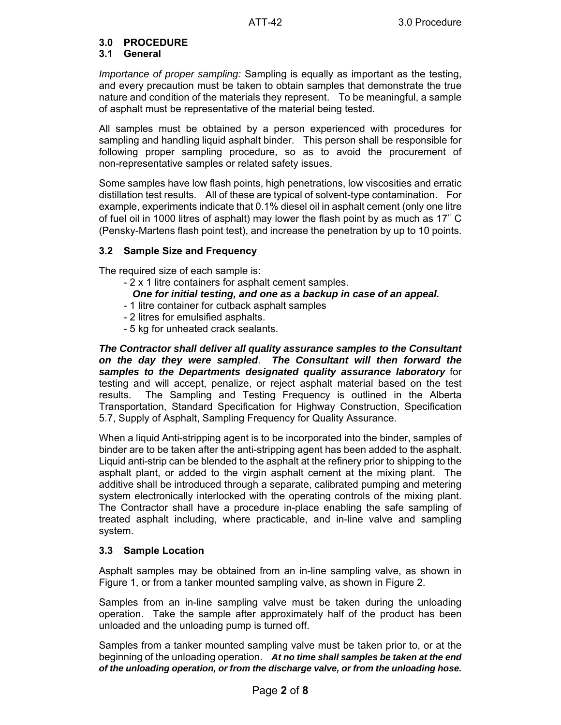#### **3.0 PROCEDURE**

#### **3.1 General**

*Importance of proper sampling:* Sampling is equally as important as the testing, and every precaution must be taken to obtain samples that demonstrate the true nature and condition of the materials they represent. To be meaningful, a sample of asphalt must be representative of the material being tested.

All samples must be obtained by a person experienced with procedures for sampling and handling liquid asphalt binder. This person shall be responsible for following proper sampling procedure, so as to avoid the procurement of non-representative samples or related safety issues.

Some samples have low flash points, high penetrations, low viscosities and erratic distillation test results. All of these are typical of solvent-type contamination. For example, experiments indicate that 0.1% diesel oil in asphalt cement (only one litre of fuel oil in 1000 litres of asphalt) may lower the flash point by as much as 17" C (Pensky-Martens flash point test), and increase the penetration by up to 10 points.

#### **3.2 Sample Size and Frequency**

The required size of each sample is:

- 2 x 1 litre containers for asphalt cement samples.
	- *One for initial testing, and one as a backup in case of an appeal.*
- 1 litre container for cutback asphalt samples
- 2 litres for emulsified asphalts.
- 5 kg for unheated crack sealants.

*The Contractor shall deliver all quality assurance samples to the Consultant on the day they were sampled*. *The Consultant will then forward the samples to the Departments designated quality assurance laboratory* for testing and will accept, penalize, or reject asphalt material based on the test results. The Sampling and Testing Frequency is outlined in the Alberta Transportation, Standard Specification for Highway Construction, Specification 5.7, Supply of Asphalt, Sampling Frequency for Quality Assurance.

When a liquid Anti-stripping agent is to be incorporated into the binder, samples of binder are to be taken after the anti-stripping agent has been added to the asphalt. Liquid anti-strip can be blended to the asphalt at the refinery prior to shipping to the asphalt plant, or added to the virgin asphalt cement at the mixing plant. The additive shall be introduced through a separate, calibrated pumping and metering system electronically interlocked with the operating controls of the mixing plant. The Contractor shall have a procedure in-place enabling the safe sampling of treated asphalt including, where practicable, and in-line valve and sampling system.

#### **3.3 Sample Location**

Asphalt samples may be obtained from an in-line sampling valve, as shown in Figure 1, or from a tanker mounted sampling valve, as shown in Figure 2.

Samples from an in-line sampling valve must be taken during the unloading operation. Take the sample after approximately half of the product has been unloaded and the unloading pump is turned off.

Samples from a tanker mounted sampling valve must be taken prior to, or at the beginning of the unloading operation. *At no time shall samples be taken at the end of the unloading operation, or from the discharge valve, or from the unloading hose.*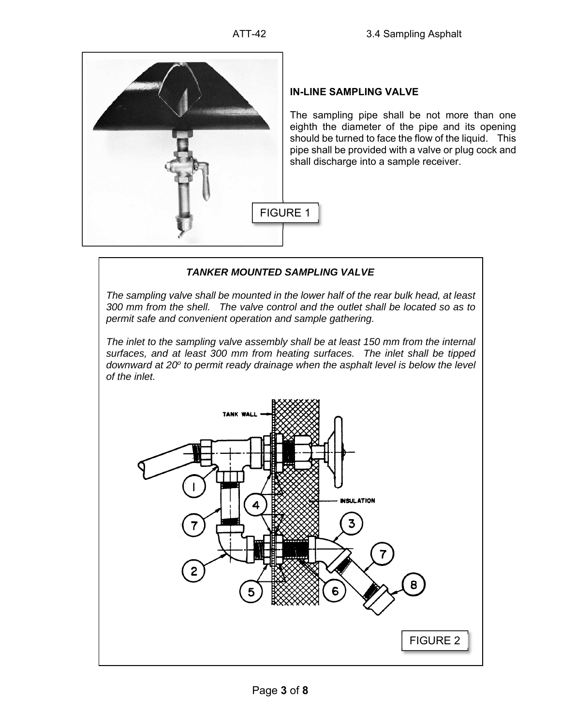

# **IN-LINE SAMPLING VALVE**

The sampling pipe shall be not more than one eighth the diameter of the pipe and its opening should be turned to face the flow of the liquid. This pipe shall be provided with a valve or plug cock and shall discharge into a sample receiver.

## *TANKER MOUNTED SAMPLING VALVE*

*The sampling valve shall be mounted in the lower half of the rear bulk head, at least 300 mm from the shell. The valve control and the outlet shall be located so as to permit safe and convenient operation and sample gathering.* 

*The inlet to the sampling valve assembly shall be at least 150 mm from the internal surfaces, and at least 300 mm from heating surfaces. The inlet shall be tipped downward at 20<sup>o</sup> to permit ready drainage when the asphalt level is below the level of the inlet.* 

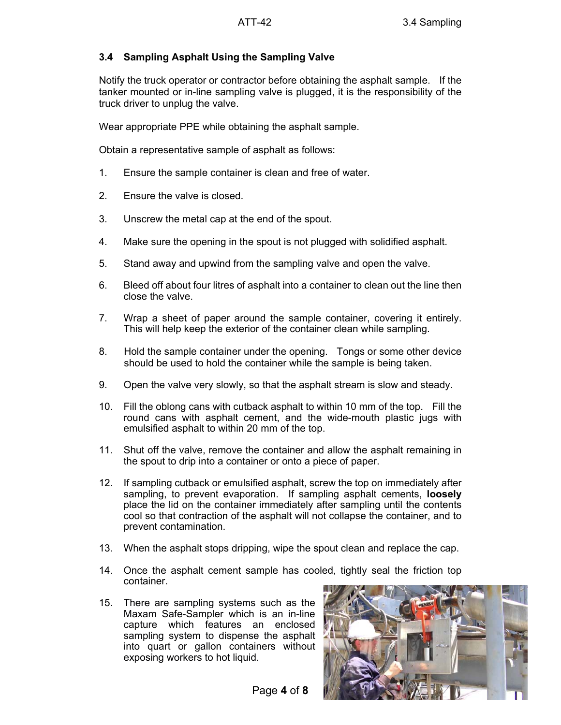#### **3.4 Sampling Asphalt Using the Sampling Valve**

Notify the truck operator or contractor before obtaining the asphalt sample. If the tanker mounted or in-line sampling valve is plugged, it is the responsibility of the truck driver to unplug the valve.

Wear appropriate PPE while obtaining the asphalt sample.

Obtain a representative sample of asphalt as follows:

- 1. Ensure the sample container is clean and free of water.
- 2. Ensure the valve is closed.
- 3. Unscrew the metal cap at the end of the spout.
- 4. Make sure the opening in the spout is not plugged with solidified asphalt.
- 5. Stand away and upwind from the sampling valve and open the valve.
- 6. Bleed off about four litres of asphalt into a container to clean out the line then close the valve.
- 7. Wrap a sheet of paper around the sample container, covering it entirely. This will help keep the exterior of the container clean while sampling.
- 8. Hold the sample container under the opening. Tongs or some other device should be used to hold the container while the sample is being taken.
- 9. Open the valve very slowly, so that the asphalt stream is slow and steady.
- 10. Fill the oblong cans with cutback asphalt to within 10 mm of the top. Fill the round cans with asphalt cement, and the wide-mouth plastic jugs with emulsified asphalt to within 20 mm of the top.
- 11. Shut off the valve, remove the container and allow the asphalt remaining in the spout to drip into a container or onto a piece of paper.
- 12. If sampling cutback or emulsified asphalt, screw the top on immediately after sampling, to prevent evaporation. If sampling asphalt cements, **loosely** place the lid on the container immediately after sampling until the contents cool so that contraction of the asphalt will not collapse the container, and to prevent contamination.
- 13. When the asphalt stops dripping, wipe the spout clean and replace the cap.
- 14. Once the asphalt cement sample has cooled, tightly seal the friction top container.
- 15. There are sampling systems such as the Maxam Safe-Sampler which is an in-line capture which features an enclosed sampling system to dispense the asphalt into quart or gallon containers without exposing workers to hot liquid.

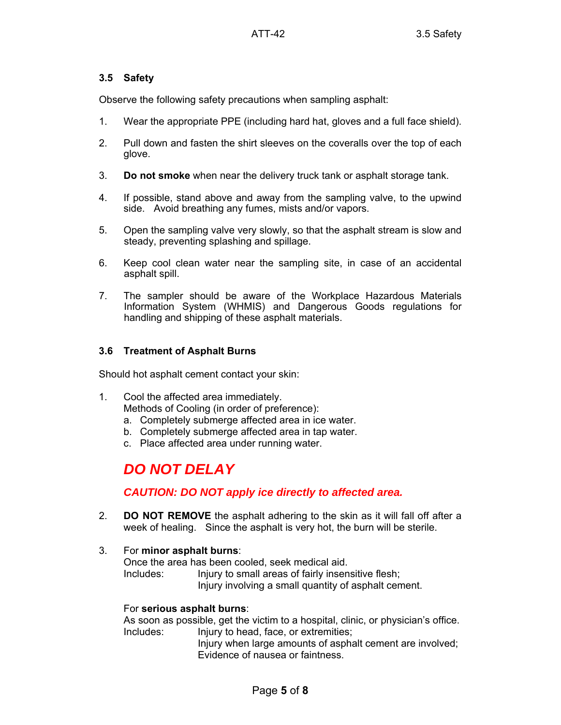## **3.5 Safety**

Observe the following safety precautions when sampling asphalt:

- 1. Wear the appropriate PPE (including hard hat, gloves and a full face shield).
- 2. Pull down and fasten the shirt sleeves on the coveralls over the top of each glove.
- 3. **Do not smoke** when near the delivery truck tank or asphalt storage tank.
- 4. If possible, stand above and away from the sampling valve, to the upwind side. Avoid breathing any fumes, mists and/or vapors.
- 5. Open the sampling valve very slowly, so that the asphalt stream is slow and steady, preventing splashing and spillage.
- 6. Keep cool clean water near the sampling site, in case of an accidental asphalt spill.
- 7. The sampler should be aware of the Workplace Hazardous Materials Information System (WHMIS) and Dangerous Goods regulations for handling and shipping of these asphalt materials.

#### **3.6 Treatment of Asphalt Burns**

Should hot asphalt cement contact your skin:

- 1. Cool the affected area immediately. Methods of Cooling (in order of preference):
	- a. Completely submerge affected area in ice water.
	- b. Completely submerge affected area in tap water.
	- c. Place affected area under running water.

# *DO NOT DELAY*

# *CAUTION: DO NOT apply ice directly to affected area.*

- 2. **DO NOT REMOVE** the asphalt adhering to the skin as it will fall off after a week of healing. Since the asphalt is very hot, the burn will be sterile.
- 3. For **minor asphalt burns**: Once the area has been cooled, seek medical aid. Includes: Injury to small areas of fairly insensitive flesh;

Injury involving a small quantity of asphalt cement.

#### For **serious asphalt burns**:

As soon as possible, get the victim to a hospital, clinic, or physician's office. Includes: Injury to head, face, or extremities;

Injury when large amounts of asphalt cement are involved; Evidence of nausea or faintness.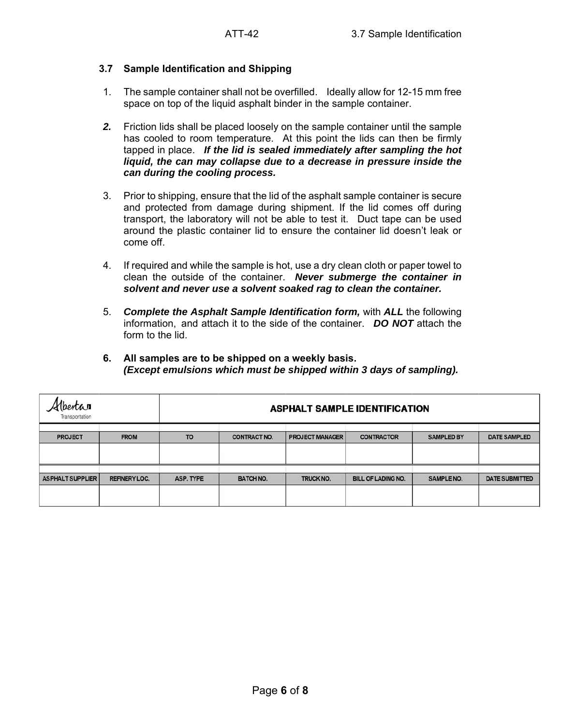#### **3.7 Sample Identification and Shipping**

- 1. The sample container shall not be overfilled. Ideally allow for 12-15 mm free space on top of the liquid asphalt binder in the sample container.
- *2.* Friction lids shall be placed loosely on the sample container until the sample has cooled to room temperature. At this point the lids can then be firmly tapped in place. *If the lid is sealed immediately after sampling the hot liquid, the can may collapse due to a decrease in pressure inside the can during the cooling process.*
- 3. Prior to shipping, ensure that the lid of the asphalt sample container is secure and protected from damage during shipment. If the lid comes off during transport, the laboratory will not be able to test it. Duct tape can be used around the plastic container lid to ensure the container lid doesn't leak or come off.
- 4. If required and while the sample is hot, use a dry clean cloth or paper towel to clean the outside of the container. *Never submerge the container in solvent and never use a solvent soaked rag to clean the container.*
- 5. *Complete the Asphalt Sample Identification form,* with *ALL* the following information, and attach it to the side of the container. *DO NOT* attach the form to the lid.
- **6. All samples are to be shipped on a weekly basis.** *(Except emulsions which must be shipped within 3 days of sampling).*

| (berta <b>r</b><br>Transportation |                      | <b>ASPHALT SAMPLE IDENTIFICATION</b> |                     |                        |                           |                   |                       |
|-----------------------------------|----------------------|--------------------------------------|---------------------|------------------------|---------------------------|-------------------|-----------------------|
|                                   |                      |                                      |                     |                        |                           |                   |                       |
| <b>PROJECT</b>                    | <b>FROM</b>          | <b>TO</b>                            | <b>CONTRACT NO.</b> | <b>PROJECT MANAGER</b> | <b>CONTRACTOR</b>         | <b>SAMPLED BY</b> | <b>DATE SAMPLED</b>   |
|                                   |                      |                                      |                     |                        |                           |                   |                       |
|                                   |                      |                                      |                     |                        |                           |                   |                       |
| <b>ASPHALT SUPPLIER</b>           | <b>REFINERY LOC.</b> | ASP. TYPE                            | <b>BATCH NO.</b>    | <b>TRUCK NO.</b>       | <b>BILL OF LADING NO.</b> | <b>SAMPLE NO.</b> | <b>DATE SUBMITTED</b> |
|                                   |                      |                                      |                     |                        |                           |                   |                       |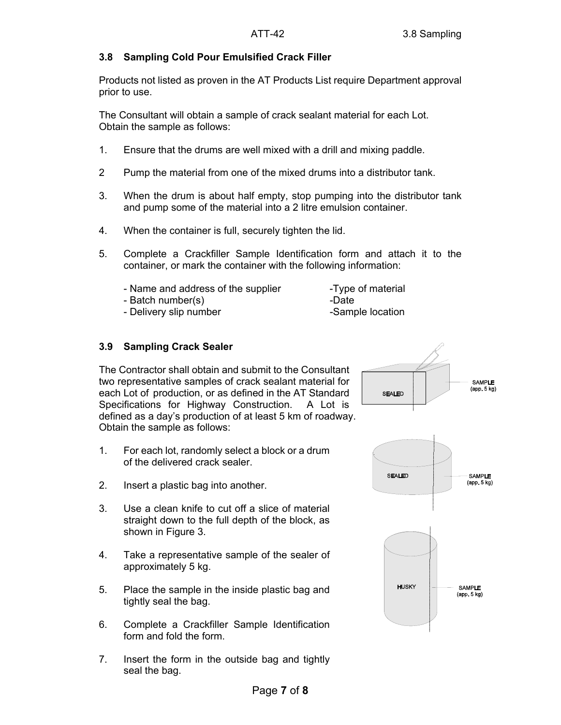## **3.8 Sampling Cold Pour Emulsified Crack Filler**

Products not listed as proven in the AT Products List require Department approval prior to use.

The Consultant will obtain a sample of crack sealant material for each Lot. Obtain the sample as follows:

- 1. Ensure that the drums are well mixed with a drill and mixing paddle.
- 2 Pump the material from one of the mixed drums into a distributor tank.
- 3. When the drum is about half empty, stop pumping into the distributor tank and pump some of the material into a 2 litre emulsion container.
- 4. When the container is full, securely tighten the lid.
- 5. Complete a Crackfiller Sample Identification form and attach it to the container, or mark the container with the following information:
	- Name and address of the supplier -Type of material
	- Batch number(s) and the set of the Batch number of the set of the set of the set of the set of the set of the set of the set of the set of the set of the set of the set of the set of the set of the set of the set of the
	- Delivery slip number Sample location
- **3.9 Sampling Crack Sealer**

The Contractor shall obtain and submit to the Consultant two representative samples of crack sealant material for each Lot of production, or as defined in the AT Standard Specifications for Highway Construction. A Lot is defined as a day's production of at least 5 km of roadway. Obtain the sample as follows:

- 1. For each lot, randomly select a block or a drum of the delivered crack sealer.
- 2. Insert a plastic bag into another.
- 3. Use a clean knife to cut off a slice of material straight down to the full depth of the block, as shown in Figure 3.
- 4. Take a representative sample of the sealer of approximately 5 kg.
- 5. Place the sample in the inside plastic bag and tightly seal the bag.
- 6. Complete a Crackfiller Sample Identification form and fold the form.
- 7. Insert the form in the outside bag and tightly seal the bag.